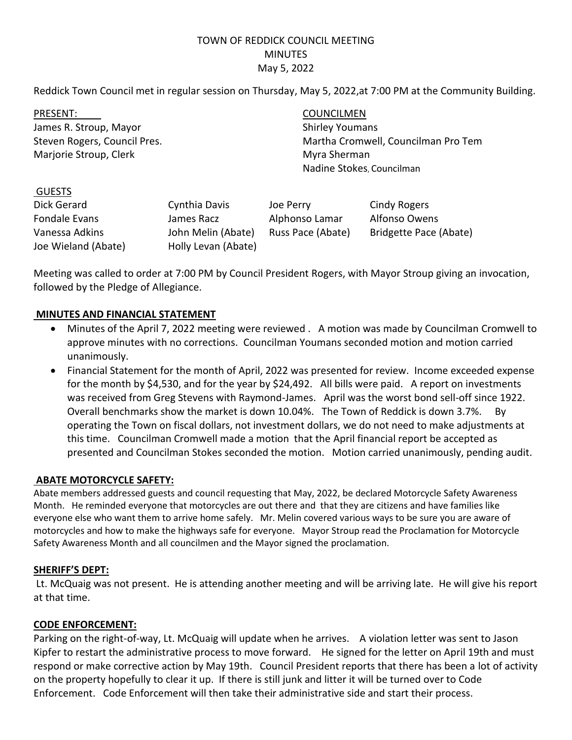# TOWN OF REDDICK COUNCIL MEETING MINUTES May 5, 2022

Reddick Town Council met in regular session on Thursday, May 5, 2022,at 7:00 PM at the Community Building.

PRESENT: COUNCILMEN James R. Stroup, Mayor Shirley Youmans Marjorie Stroup, Clerk Myra Sherman

Steven Rogers, Council Pres. Martha Cromwell, Councilman Pro Tem Nadine Stokes, Councilman

#### GUESTS

| Dick Gerard         | Cynthia Davis       | Joe Perry         | Cindy Rogers           |
|---------------------|---------------------|-------------------|------------------------|
| Fondale Evans       | James Racz          | Alphonso Lamar    | Alfonso Owens          |
| Vanessa Adkins      | John Melin (Abate)  | Russ Pace (Abate) | Bridgette Pace (Abate) |
| Joe Wieland (Abate) | Holly Levan (Abate) |                   |                        |

Meeting was called to order at 7:00 PM by Council President Rogers, with Mayor Stroup giving an invocation, followed by the Pledge of Allegiance.

## **MINUTES AND FINANCIAL STATEMENT**

- Minutes of the April 7, 2022 meeting were reviewed . A motion was made by Councilman Cromwell to approve minutes with no corrections. Councilman Youmans seconded motion and motion carried unanimously.
- Financial Statement for the month of April, 2022 was presented for review. Income exceeded expense for the month by \$4,530, and for the year by \$24,492. All bills were paid. A report on investments was received from Greg Stevens with Raymond-James. April was the worst bond sell-off since 1922. Overall benchmarks show the market is down 10.04%. The Town of Reddick is down 3.7%. By operating the Town on fiscal dollars, not investment dollars, we do not need to make adjustments at this time. Councilman Cromwell made a motion that the April financial report be accepted as presented and Councilman Stokes seconded the motion. Motion carried unanimously, pending audit.

## **ABATE MOTORCYCLE SAFETY:**

Abate members addressed guests and council requesting that May, 2022, be declared Motorcycle Safety Awareness Month. He reminded everyone that motorcycles are out there and that they are citizens and have families like everyone else who want them to arrive home safely. Mr. Melin covered various ways to be sure you are aware of motorcycles and how to make the highways safe for everyone. Mayor Stroup read the Proclamation for Motorcycle Safety Awareness Month and all councilmen and the Mayor signed the proclamation.

#### **SHERIFF'S DEPT:**

Lt. McQuaig was not present. He is attending another meeting and will be arriving late. He will give his report at that time.

#### **CODE ENFORCEMENT:**

Parking on the right-of-way, Lt. McQuaig will update when he arrives. A violation letter was sent to Jason Kipfer to restart the administrative process to move forward. He signed for the letter on April 19th and must respond or make corrective action by May 19th. Council President reports that there has been a lot of activity on the property hopefully to clear it up. If there is still junk and litter it will be turned over to Code Enforcement. Code Enforcement will then take their administrative side and start their process.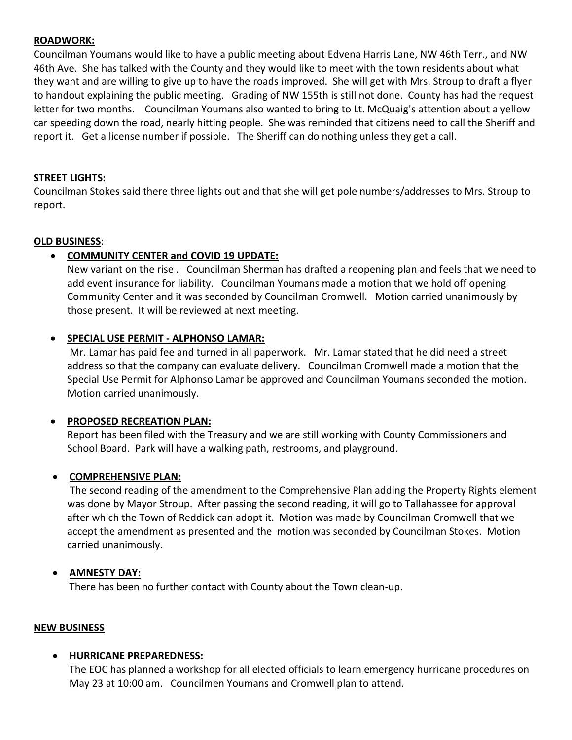#### **ROADWORK:**

Councilman Youmans would like to have a public meeting about Edvena Harris Lane, NW 46th Terr., and NW 46th Ave. She has talked with the County and they would like to meet with the town residents about what they want and are willing to give up to have the roads improved. She will get with Mrs. Stroup to draft a flyer to handout explaining the public meeting. Grading of NW 155th is still not done. County has had the request letter for two months. Councilman Youmans also wanted to bring to Lt. McQuaig's attention about a yellow car speeding down the road, nearly hitting people. She was reminded that citizens need to call the Sheriff and report it. Get a license number if possible. The Sheriff can do nothing unless they get a call.

## **STREET LIGHTS:**

Councilman Stokes said there three lights out and that she will get pole numbers/addresses to Mrs. Stroup to report.

## **OLD BUSINESS**:

## • **COMMUNITY CENTER and COVID 19 UPDATE:**

New variant on the rise . Councilman Sherman has drafted a reopening plan and feels that we need to add event insurance for liability. Councilman Youmans made a motion that we hold off opening Community Center and it was seconded by Councilman Cromwell. Motion carried unanimously by those present. It will be reviewed at next meeting.

## • **SPECIAL USE PERMIT - ALPHONSO LAMAR:**

Mr. Lamar has paid fee and turned in all paperwork. Mr. Lamar stated that he did need a street address so that the company can evaluate delivery. Councilman Cromwell made a motion that the Special Use Permit for Alphonso Lamar be approved and Councilman Youmans seconded the motion. Motion carried unanimously.

## • **PROPOSED RECREATION PLAN:**

Report has been filed with the Treasury and we are still working with County Commissioners and School Board. Park will have a walking path, restrooms, and playground.

#### • **COMPREHENSIVE PLAN:**

The second reading of the amendment to the Comprehensive Plan adding the Property Rights element was done by Mayor Stroup. After passing the second reading, it will go to Tallahassee for approval after which the Town of Reddick can adopt it. Motion was made by Councilman Cromwell that we accept the amendment as presented and the motion was seconded by Councilman Stokes. Motion carried unanimously.

## • **AMNESTY DAY:**

There has been no further contact with County about the Town clean-up.

#### **NEW BUSINESS**

#### • **HURRICANE PREPAREDNESS:**

The EOC has planned a workshop for all elected officials to learn emergency hurricane procedures on May 23 at 10:00 am. Councilmen Youmans and Cromwell plan to attend.